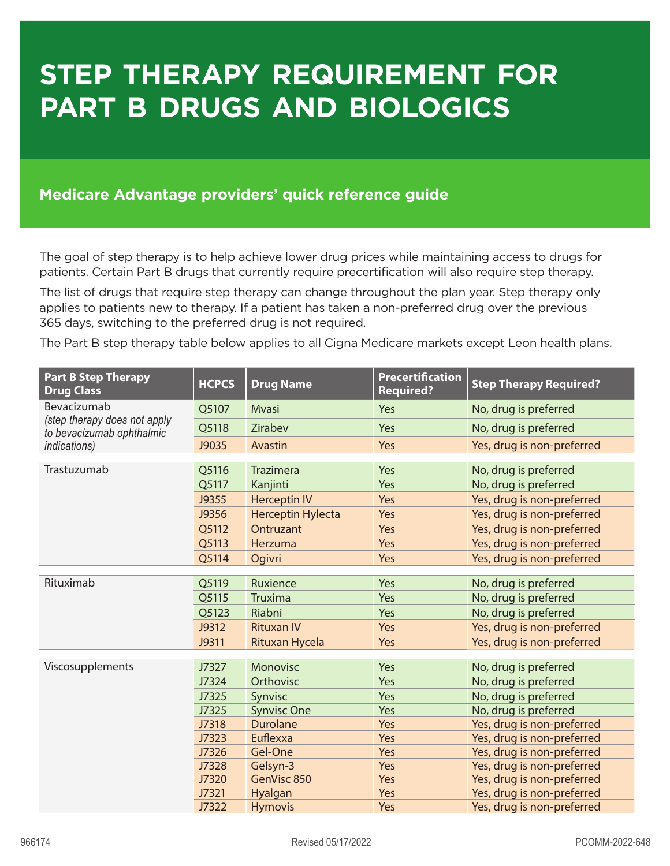## **STEP THERAPY REQUIREMENT FOR PART B DRUGS AND BIOLOGICS**

## **Medicare Advantage providers' quick reference guide**

The goal of step therapy is to help achieve lower drug prices while maintaining access to drugs for patients. Certain Part B drugs that currently require precertification will also require step therapy.

The list of drugs that require step therapy can change throughout the plan year. Step therapy only applies to patients new to therapy. If a patient has taken a non-preferred drug over the previous 365 days, switching to the preferred drug is not required.

The Part B step therapy table below applies to all Cigna Medicare markets except Leon health plans.

| <b>Part B Step Therapy</b><br><b>Drug Class</b>                                                  | <b>HCPCS</b> | <b>Drug Name</b>                      | <b>Precertification</b><br><b>Required?</b> | <b>Step Therapy Required?</b> |  |  |  |
|--------------------------------------------------------------------------------------------------|--------------|---------------------------------------|---------------------------------------------|-------------------------------|--|--|--|
| Bevacizumab<br>(step therapy does not apply<br>to bevacizumab ophthalmic<br><i>indications</i> ) | Q5107        | <b>Mvasi</b>                          | Yes                                         | No, drug is preferred         |  |  |  |
|                                                                                                  | Q5118        | Zirabev                               | Yes                                         | No, drug is preferred         |  |  |  |
|                                                                                                  | J9035        | Avastin                               | Yes                                         | Yes, drug is non-preferred    |  |  |  |
| Trastuzumab                                                                                      | Q5116        | Trazimera                             | Yes                                         | No, drug is preferred         |  |  |  |
|                                                                                                  | Q5117        | Kanjinti                              | Yes                                         | No, drug is preferred         |  |  |  |
|                                                                                                  | J9355        | <b>Herceptin IV</b>                   | Yes                                         | Yes, drug is non-preferred    |  |  |  |
|                                                                                                  | J9356        |                                       | Yes                                         | Yes, drug is non-preferred    |  |  |  |
|                                                                                                  |              | <b>Herceptin Hylecta</b><br>Ontruzant | Yes                                         |                               |  |  |  |
|                                                                                                  | Q5112        |                                       |                                             | Yes, drug is non-preferred    |  |  |  |
|                                                                                                  | Q5113        | Herzuma                               | Yes                                         | Yes, drug is non-preferred    |  |  |  |
|                                                                                                  | Q5114        | Ogivri                                | Yes                                         | Yes, drug is non-preferred    |  |  |  |
| Rituximab                                                                                        | Q5119        | Ruxience                              | Yes                                         | No, drug is preferred         |  |  |  |
|                                                                                                  | Q5115        | Truxima                               | Yes                                         | No, drug is preferred         |  |  |  |
|                                                                                                  | Q5123        | Riabni                                | Yes                                         | No, drug is preferred         |  |  |  |
|                                                                                                  | J9312        | <b>Rituxan IV</b>                     | Yes                                         | Yes, drug is non-preferred    |  |  |  |
|                                                                                                  | J9311        | Rituxan Hycela                        | Yes                                         | Yes, drug is non-preferred    |  |  |  |
|                                                                                                  |              |                                       |                                             |                               |  |  |  |
| Viscosupplements                                                                                 | J7327        | Monovisc                              | Yes                                         | No, drug is preferred         |  |  |  |
|                                                                                                  | J7324        | Orthovisc                             | Yes                                         | No, drug is preferred         |  |  |  |
|                                                                                                  | J7325        | Synvisc                               | Yes                                         | No, drug is preferred         |  |  |  |
|                                                                                                  | J7325        | <b>Synvisc One</b>                    | Yes                                         | No, drug is preferred         |  |  |  |
|                                                                                                  | J7318        | <b>Durolane</b>                       | Yes                                         | Yes, drug is non-preferred    |  |  |  |
|                                                                                                  | J7323        | Euflexxa                              | Yes                                         | Yes, drug is non-preferred    |  |  |  |
|                                                                                                  | J7326        | Gel-One                               | Yes                                         | Yes, drug is non-preferred    |  |  |  |
|                                                                                                  | J7328        | Gelsyn-3                              | Yes                                         | Yes, drug is non-preferred    |  |  |  |
|                                                                                                  | J7320        | GenVisc 850                           | Yes                                         | Yes, drug is non-preferred    |  |  |  |
|                                                                                                  | J7321        | Hyalgan                               | Yes                                         | Yes, drug is non-preferred    |  |  |  |
|                                                                                                  | J7322        | <b>Hymovis</b>                        | Yes                                         | Yes, drug is non-preferred    |  |  |  |